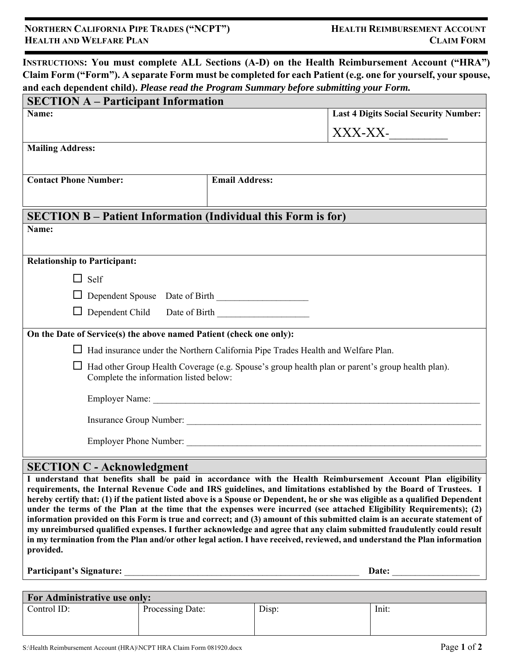|                                                                      | and each dependent child). Please read the Program Summary before submitting your Form.<br><b>SECTION A - Participant Information</b> |  |  |  |  |
|----------------------------------------------------------------------|---------------------------------------------------------------------------------------------------------------------------------------|--|--|--|--|
| Name:                                                                | <b>Last 4 Digits Social Security Number:</b>                                                                                          |  |  |  |  |
|                                                                      | XXX-XX-                                                                                                                               |  |  |  |  |
| <b>Mailing Address:</b>                                              |                                                                                                                                       |  |  |  |  |
| <b>Contact Phone Number:</b>                                         | <b>Email Address:</b>                                                                                                                 |  |  |  |  |
| <b>SECTION B - Patient Information (Individual this Form is for)</b> |                                                                                                                                       |  |  |  |  |
| Name:                                                                |                                                                                                                                       |  |  |  |  |
| <b>Relationship to Participant:</b>                                  |                                                                                                                                       |  |  |  |  |
| $\Box$ Self                                                          |                                                                                                                                       |  |  |  |  |
|                                                                      |                                                                                                                                       |  |  |  |  |
| $\Box$ Dependent Child                                               |                                                                                                                                       |  |  |  |  |
| On the Date of Service(s) the above named Patient (check one only):  |                                                                                                                                       |  |  |  |  |
|                                                                      | Had insurance under the Northern California Pipe Trades Health and Welfare Plan.                                                      |  |  |  |  |
| Ш<br>Complete the information listed below:                          | Had other Group Health Coverage (e.g. Spouse's group health plan or parent's group health plan).                                      |  |  |  |  |
|                                                                      |                                                                                                                                       |  |  |  |  |
|                                                                      |                                                                                                                                       |  |  |  |  |
|                                                                      |                                                                                                                                       |  |  |  |  |

**I understand that benefits shall be paid in accordance with the Health Reimbursement Account Plan eligibility requirements, the Internal Revenue Code and IRS guidelines, and limitations established by the Board of Trustees. I hereby certify that: (1) if the patient listed above is a Spouse or Dependent, he or she was eligible as a qualified Dependent under the terms of the Plan at the time that the expenses were incurred (see attached Eligibility Requirements); (2) information provided on this Form is true and correct; and (3) amount of this submitted claim is an accurate statement of my unreimbursed qualified expenses. I further acknowledge and agree that any claim submitted fraudulently could result in my termination from the Plan and/or other legal action. I have received, reviewed, and understand the Plan information provided.** 

**Participant's Signature:** \_\_\_\_\_\_\_\_\_\_\_\_\_\_\_\_\_\_\_\_\_\_\_\_\_\_\_\_\_\_\_\_\_\_\_\_\_\_\_\_\_\_\_\_\_\_\_\_\_\_\_ **Date:** \_\_\_\_\_\_\_\_\_\_\_\_\_\_\_\_\_\_\_

| For Administrative use only: |                  |       |       |  |  |
|------------------------------|------------------|-------|-------|--|--|
| Control ID:                  | Processing Date: | Disp: | Init: |  |  |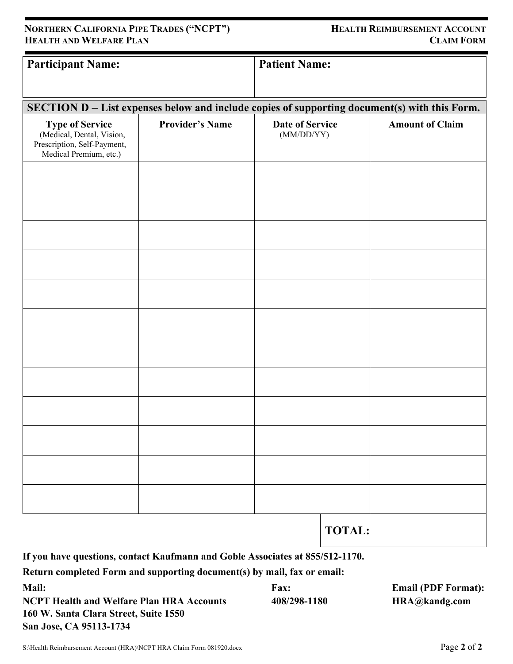| <b>Participant Name:</b>                                                                     |                        | <b>Patient Name:</b>                 |        |                        |
|----------------------------------------------------------------------------------------------|------------------------|--------------------------------------|--------|------------------------|
|                                                                                              |                        |                                      |        |                        |
|                                                                                              |                        |                                      |        |                        |
| SECTION D - List expenses below and include copies of supporting document(s) with this Form. |                        |                                      |        |                        |
|                                                                                              |                        |                                      |        |                        |
| <b>Type of Service</b><br>(Medical, Dental, Vision,                                          | <b>Provider's Name</b> | <b>Date of Service</b><br>(MM/DD/YY) |        | <b>Amount of Claim</b> |
| Prescription, Self-Payment,                                                                  |                        |                                      |        |                        |
| Medical Premium, etc.)                                                                       |                        |                                      |        |                        |
|                                                                                              |                        |                                      |        |                        |
|                                                                                              |                        |                                      |        |                        |
|                                                                                              |                        |                                      |        |                        |
|                                                                                              |                        |                                      |        |                        |
|                                                                                              |                        |                                      |        |                        |
|                                                                                              |                        |                                      |        |                        |
|                                                                                              |                        |                                      |        |                        |
|                                                                                              |                        |                                      |        |                        |
|                                                                                              |                        |                                      |        |                        |
|                                                                                              |                        |                                      |        |                        |
|                                                                                              |                        |                                      |        |                        |
|                                                                                              |                        |                                      |        |                        |
|                                                                                              |                        |                                      |        |                        |
|                                                                                              |                        |                                      |        |                        |
|                                                                                              |                        |                                      |        |                        |
|                                                                                              |                        |                                      |        |                        |
|                                                                                              |                        |                                      |        |                        |
|                                                                                              |                        |                                      |        |                        |
|                                                                                              |                        |                                      |        |                        |
|                                                                                              |                        |                                      |        |                        |
|                                                                                              |                        |                                      |        |                        |
|                                                                                              |                        |                                      |        |                        |
|                                                                                              |                        |                                      |        |                        |
|                                                                                              |                        |                                      |        |                        |
|                                                                                              |                        |                                      |        |                        |
|                                                                                              |                        |                                      |        |                        |
|                                                                                              |                        |                                      | TOTAL. |                        |

# **TOTAL:**

**If you have questions, contact Kaufmann and Goble Associates at 855/512-1170.** 

**Return completed Form and supporting document(s) by mail, fax or email:** 

**Mail: Fax: Email (PDF Format): NCPT Health and Welfare Plan HRA Accounts** 408/298-1180 **HRA@kandg.com 160 W. Santa Clara Street, Suite 1550 San Jose, CA 95113-1734** 

## **NORTHERN CALIFORNIA PIPE TRADES ("NCPT") HEALTH REIMBURSEMENT ACCOUNT HEALTH AND WELFARE PLAN** CLAIM FORM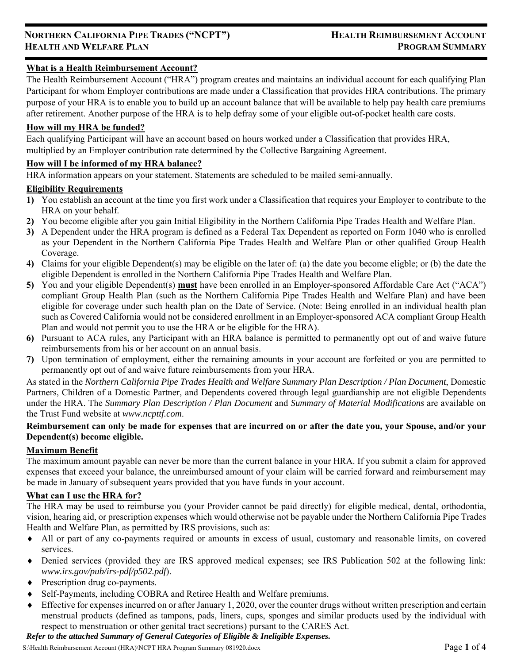## **What is a Health Reimbursement Account?**

The Health Reimbursement Account ("HRA") program creates and maintains an individual account for each qualifying Plan Participant for whom Employer contributions are made under a Classification that provides HRA contributions. The primary purpose of your HRA is to enable you to build up an account balance that will be available to help pay health care premiums after retirement. Another purpose of the HRA is to help defray some of your eligible out-of-pocket health care costs.

## **How will my HRA be funded?**

Each qualifying Participant will have an account based on hours worked under a Classification that provides HRA, multiplied by an Employer contribution rate determined by the Collective Bargaining Agreement.

## **How will I be informed of my HRA balance?**

HRA information appears on your statement. Statements are scheduled to be mailed semi-annually.

### **Eligibility Requirements**

- **1)** You establish an account at the time you first work under a Classification that requires your Employer to contribute to the HRA on your behalf.
- **2)** You become eligible after you gain Initial Eligibility in the Northern California Pipe Trades Health and Welfare Plan.
- **3)** A Dependent under the HRA program is defined as a Federal Tax Dependent as reported on Form 1040 who is enrolled as your Dependent in the Northern California Pipe Trades Health and Welfare Plan or other qualified Group Health Coverage.
- **4)** Claims for your eligible Dependent(s) may be eligible on the later of: (a) the date you become eligble; or (b) the date the eligible Dependent is enrolled in the Northern California Pipe Trades Health and Welfare Plan.
- **5)** You and your eligible Dependent(s) **must** have been enrolled in an Employer-sponsored Affordable Care Act ("ACA") compliant Group Health Plan (such as the Northern California Pipe Trades Health and Welfare Plan) and have been eligible for coverage under such health plan on the Date of Service. (Note: Being enrolled in an individual health plan such as Covered California would not be considered enrollment in an Employer-sponsored ACA compliant Group Health Plan and would not permit you to use the HRA or be eligible for the HRA).
- **6)** Pursuant to ACA rules, any Participant with an HRA balance is permitted to permanently opt out of and waive future reimbursements from his or her account on an annual basis.
- **7)** Upon termination of employment, either the remaining amounts in your account are forfeited or you are permitted to permanently opt out of and waive future reimbursements from your HRA.

As stated in the *Northern California Pipe Trades Health and Welfare Summary Plan Description / Plan Document*, Domestic Partners, Children of a Domestic Partner, and Dependents covered through legal guardianship are not eligible Dependents under the HRA. The *Summary Plan Description / Plan Document* and *Summary of Material Modifications* are available on the Trust Fund website at *www.ncpttf.com*.

### **Reimbursement can only be made for expenses that are incurred on or after the date you, your Spouse, and/or your Dependent(s) become eligible.**

#### **Maximum Benefit**

The maximum amount payable can never be more than the current balance in your HRA. If you submit a claim for approved expenses that exceed your balance, the unreimbursed amount of your claim will be carried forward and reimbursement may be made in January of subsequent years provided that you have funds in your account.

## **What can I use the HRA for?**

The HRA may be used to reimburse you (your Provider cannot be paid directly) for eligible medical, dental, orthodontia, vision, hearing aid, or prescription expenses which would otherwise not be payable under the Northern California Pipe Trades Health and Welfare Plan, as permitted by IRS provisions, such as:

- All or part of any co-payments required or amounts in excess of usual, customary and reasonable limits, on covered services.
- Denied services (provided they are IRS approved medical expenses; see IRS Publication 502 at the following link: *www.irs.gov/pub/irs-pdf/p502.pdf*).
- Prescription drug co-payments.
- Self-Payments, including COBRA and Retiree Health and Welfare premiums.
- $\bullet$  Effective for expenses incurred on or after January 1, 2020, over the counter drugs without written prescription and certain menstrual products (defined as tampons, pads, liners, cups, sponges and similar products used by the individual with respect to menstruation or other genital tract secretions) pursant to the CARES Act.

## *Refer to the attached Summary of General Categories of Eligible & Ineligible Expenses.*

S:\Health Reimbursement Account (HRA)\NCPT HRA Program Summary 081920.docx Page **1** of **4**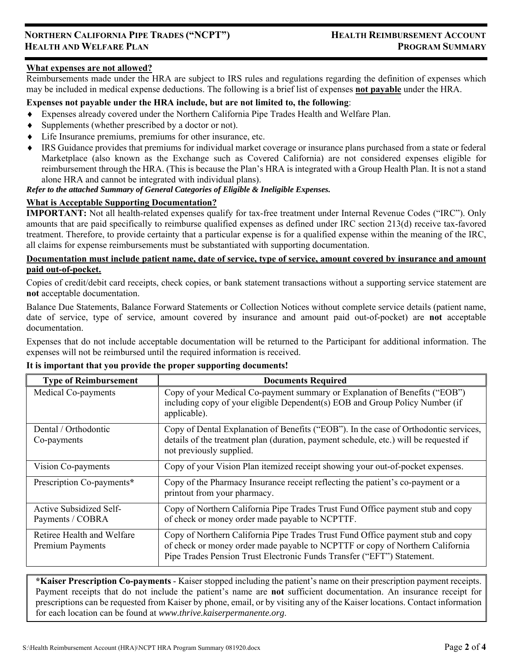### **What expenses are not allowed?**

Reimbursements made under the HRA are subject to IRS rules and regulations regarding the definition of expenses which may be included in medical expense deductions. The following is a brief list of expenses **not payable** under the HRA.

#### **Expenses not payable under the HRA include, but are not limited to, the following**:

- Expenses already covered under the Northern California Pipe Trades Health and Welfare Plan.
- Supplements (whether prescribed by a doctor or not).
- Life Insurance premiums, premiums for other insurance, etc.
- IRS Guidance provides that premiums for individual market coverage or insurance plans purchased from a state or federal Marketplace (also known as the Exchange such as Covered California) are not considered expenses eligible for reimbursement through the HRA. (This is because the Plan's HRA is integrated with a Group Health Plan. It is not a stand alone HRA and cannot be integrated with individual plans).

## *Refer to the attached Summary of General Categories of Eligible & Ineligible Expenses.*

#### **What is Acceptable Supporting Documentation?**

**IMPORTANT:** Not all health-related expenses qualify for tax-free treatment under Internal Revenue Codes ("IRC"). Only amounts that are paid specifically to reimburse qualified expenses as defined under IRC section 213(d) receive tax-favored treatment. Therefore, to provide certainty that a particular expense is for a qualified expense within the meaning of the IRC, all claims for expense reimbursements must be substantiated with supporting documentation.

### **Documentation must include patient name, date of service, type of service, amount covered by insurance and amount paid out-of-pocket.**

Copies of credit/debit card receipts, check copies, or bank statement transactions without a supporting service statement are **not** acceptable documentation.

Balance Due Statements, Balance Forward Statements or Collection Notices without complete service details (patient name, date of service, type of service, amount covered by insurance and amount paid out-of-pocket) are **not** acceptable documentation.

Expenses that do not include acceptable documentation will be returned to the Participant for additional information. The expenses will not be reimbursed until the required information is received.

#### **It is important that you provide the proper supporting documents!**

| <b>Type of Reimbursement</b>                          | <b>Documents Required</b>                                                                                                                                                                                                                  |
|-------------------------------------------------------|--------------------------------------------------------------------------------------------------------------------------------------------------------------------------------------------------------------------------------------------|
| Medical Co-payments                                   | Copy of your Medical Co-payment summary or Explanation of Benefits ("EOB")<br>including copy of your eligible Dependent(s) EOB and Group Policy Number (if<br>applicable).                                                                 |
| Dental / Orthodontic<br>Co-payments                   | Copy of Dental Explanation of Benefits ("EOB"). In the case of Orthodontic services,<br>details of the treatment plan (duration, payment schedule, etc.) will be requested if<br>not previously supplied.                                  |
| Vision Co-payments                                    | Copy of your Vision Plan itemized receipt showing your out-of-pocket expenses.                                                                                                                                                             |
| Prescription Co-payments*                             | Copy of the Pharmacy Insurance receipt reflecting the patient's co-payment or a<br>printout from your pharmacy.                                                                                                                            |
| Active Subsidized Self-<br>Payments / COBRA           | Copy of Northern California Pipe Trades Trust Fund Office payment stub and copy<br>of check or money order made payable to NCPTTF.                                                                                                         |
| Retiree Health and Welfare<br><b>Premium Payments</b> | Copy of Northern California Pipe Trades Trust Fund Office payment stub and copy<br>of check or money order made payable to NCPTTF or copy of Northern California<br>Pipe Trades Pension Trust Electronic Funds Transfer ("EFT") Statement. |

**\*Kaiser Prescription Co-payments** - Kaiser stopped including the patient's name on their prescription payment receipts. Payment receipts that do not include the patient's name are **not** sufficient documentation. An insurance receipt for prescriptions can be requested from Kaiser by phone, email, or by visiting any of the Kaiser locations. Contact information for each location can be found at *www.thrive.kaiserpermanente.org*.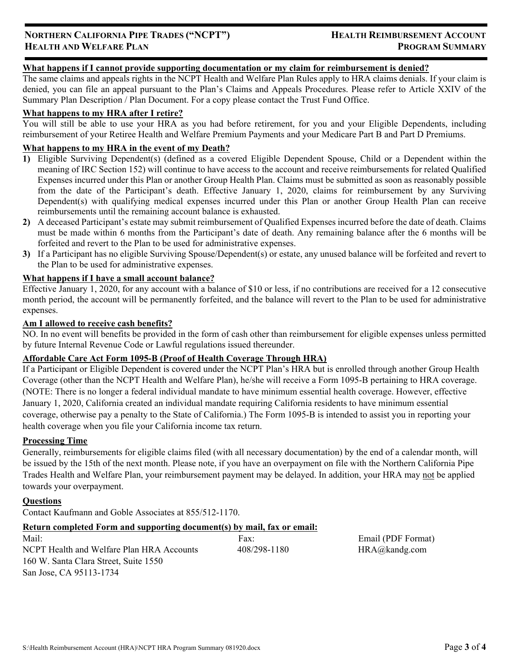## **What happens if I cannot provide supporting documentation or my claim for reimbursement is denied?**

The same claims and appeals rights in the NCPT Health and Welfare Plan Rules apply to HRA claims denials. If your claim is denied, you can file an appeal pursuant to the Plan's Claims and Appeals Procedures. Please refer to Article XXIV of the Summary Plan Description / Plan Document. For a copy please contact the Trust Fund Office.

### **What happens to my HRA after I retire?**

You will still be able to use your HRA as you had before retirement, for you and your Eligible Dependents, including reimbursement of your Retiree Health and Welfare Premium Payments and your Medicare Part B and Part D Premiums.

## **What happens to my HRA in the event of my Death?**

- **1)** Eligible Surviving Dependent(s) (defined as a covered Eligible Dependent Spouse, Child or a Dependent within the meaning of IRC Section 152) will continue to have access to the account and receive reimbursements for related Qualified Expenses incurred under this Plan or another Group Health Plan. Claims must be submitted as soon as reasonably possible from the date of the Participant's death. Effective January 1, 2020, claims for reimbursement by any Surviving Dependent(s) with qualifying medical expenses incurred under this Plan or another Group Health Plan can receive reimbursements until the remaining account balance is exhausted.
- **2)** A deceased Participant's estate may submit reimbursement of Qualified Expenses incurred before the date of death. Claims must be made within 6 months from the Participant's date of death. Any remaining balance after the 6 months will be forfeited and revert to the Plan to be used for administrative expenses.
- **3)** If a Participant has no eligible Surviving Spouse/Dependent(s) or estate, any unused balance will be forfeited and revert to the Plan to be used for administrative expenses.

#### **What happens if I have a small account balance?**

Effective January 1, 2020, for any account with a balance of \$10 or less, if no contributions are received for a 12 consecutive month period, the account will be permanently forfeited, and the balance will revert to the Plan to be used for administrative expenses.

#### **Am I allowed to receive cash benefits?**

NO. In no event will benefits be provided in the form of cash other than reimbursement for eligible expenses unless permitted by future Internal Revenue Code or Lawful regulations issued thereunder.

## **Affordable Care Act Form 1095-B (Proof of Health Coverage Through HRA)**

If a Participant or Eligible Dependent is covered under the NCPT Plan's HRA but is enrolled through another Group Health Coverage (other than the NCPT Health and Welfare Plan), he/she will receive a Form 1095-B pertaining to HRA coverage. (NOTE: There is no longer a federal individual mandate to have minimum essential health coverage. However, effective January 1, 2020, California created an individual mandate requiring California residents to have minimum essential coverage, otherwise pay a penalty to the State of California.) The Form 1095-B is intended to assist you in reporting your health coverage when you file your California income tax return.

#### **Processing Time**

Generally, reimbursements for eligible claims filed (with all necessary documentation) by the end of a calendar month, will be issued by the 15th of the next month. Please note, if you have an overpayment on file with the Northern California Pipe Trades Health and Welfare Plan, your reimbursement payment may be delayed. In addition, your HRA may not be applied towards your overpayment.

#### **Questions**

Contact Kaufmann and Goble Associates at 855/512-1170.

## **Return completed Form and supporting document(s) by mail, fax or email:**

Mail: Fax: Email (PDF Format) NCPT Health and Welfare Plan HRA Accounts 408/298-1180 HRA@kandg.com 160 W. Santa Clara Street, Suite 1550 San Jose, CA 95113-1734